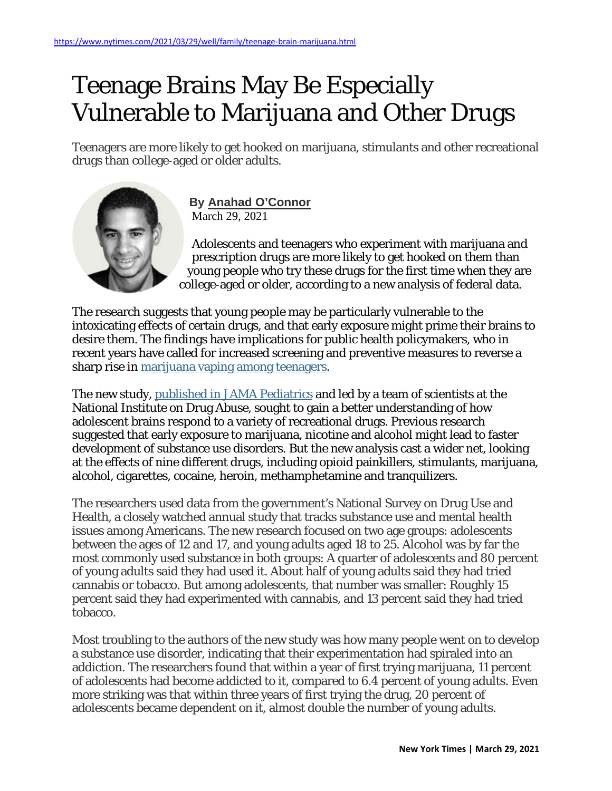## Teenage Brains May Be Especially Vulnerable to Marijuana and Other Drugs

Teenagers are more likely to get hooked on marijuana, stimulants and other recreational drugs than college-aged or older adults.



**By Anahad [O'Connor](https://www.nytimes.com/by/anahad-oconnor)** March 29, 2021

Adolescents and teenagers who experiment with marijuana and prescription drugs are more likely to get hooked on them than young people who try these drugs for the first time when they are [co](https://www.nytimes.com/by/anahad-oconnor)llege-aged or older, according to a new analysis of federal data.

The research suggests that young people may be particularly vulnerable to the intoxicating effects of certain drugs, and that early exposure might prime their brains to desire them. The findings have implications for public health policymakers, who in recent years have called for increased screening and preventive measures to reverse a sharp rise in [marijuana](https://www.nytimes.com/2019/12/18/health/teen-drug-use.html) vaping among teenagers.

The new study, published in JAMA [Pediatrics](https://jamanetwork.com/journals/jamapediatrics/fullarticle/2777817) and led by a team of scientists at the National Institute on Drug Abuse, sought to gain a better understanding of how adolescent brains respond to a variety of recreational drugs. Previous research suggested that early exposure to marijuana, nicotine and alcohol might lead to faster development of substance use disorders. But the new analysis cast a wider net, looking at the effects of nine different drugs, including opioid painkillers, stimulants, marijuana, alcohol, cigarettes, cocaine, heroin, methamphetamine and tranquilizers.

The researchers used data from the government's National Survey on Drug Use and Health, a closely watched annual study that tracks substance use and mental health issues among Americans. The new research focused on two age groups: adolescents between the ages of 12 and 17, and young adults aged 18 to 25. Alcohol was by far the most commonly used substance in both groups: A quarter of adolescents and 80 percent of young adults said they had used it. About half of young adults said they had tried cannabis or tobacco. But among adolescents, that number was smaller: Roughly 15 percent said they had experimented with cannabis, and 13 percent said they had tried tobacco.

Most troubling to the authors of the new study was how many people went on to develop a substance use disorder, indicating that their experimentation had spiraled into an addiction. The researchers found that within a year of first trying marijuana, 11 percent of adolescents had become addicted to it, compared to 6.4 percent of young adults. Even more striking was that within three years of first trying the drug, 20 percent of adolescents became dependent on it, almost double the number of young adults.